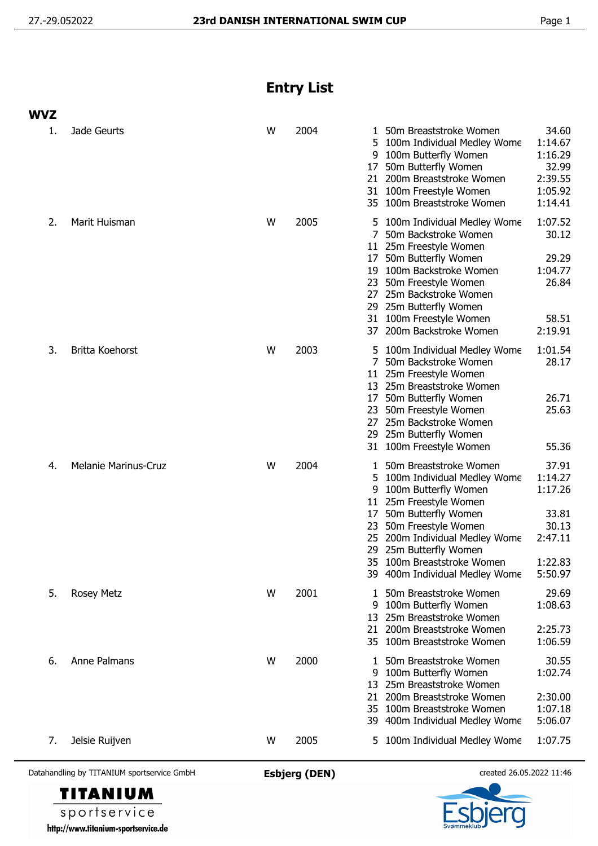## **Entry List**

| <b>WVZ</b> |                             |   |      |                                           |                                                                                                                                                                                                                                                                          |                                                                                |
|------------|-----------------------------|---|------|-------------------------------------------|--------------------------------------------------------------------------------------------------------------------------------------------------------------------------------------------------------------------------------------------------------------------------|--------------------------------------------------------------------------------|
| 1.         | Jade Geurts                 | W | 2004 | 1.<br>5<br>9<br>17<br>21<br>31            | 50m Breaststroke Women<br>100m Individual Medley Wome<br>100m Butterfly Women<br>50m Butterfly Women<br>200m Breaststroke Women<br>100m Freestyle Women<br>35 100m Breaststroke Women                                                                                    | 34.60<br>1:14.67<br>1:16.29<br>32.99<br>2:39.55<br>1:05.92<br>1:14.41          |
| 2.         | Marit Huisman               | W | 2005 | 5<br>17<br>19<br>23<br>27<br>29           | 100m Individual Medley Wome<br>50m Backstroke Women<br>11 25m Freestyle Women<br>50m Butterfly Women<br>100m Backstroke Women<br>50m Freestyle Women<br>25m Backstroke Women<br>25m Butterfly Women<br>31 100m Freestyle Women<br>37 200m Backstroke Women               | 1:07.52<br>30.12<br>29.29<br>1:04.77<br>26.84<br>58.51<br>2:19.91              |
| 3.         | Britta Koehorst             | W | 2003 | 5<br>7<br>17<br>23<br>27                  | 100m Individual Medley Wome<br>50m Backstroke Women<br>11 25m Freestyle Women<br>13 25m Breaststroke Women<br>50m Butterfly Women<br>50m Freestyle Women<br>25m Backstroke Women<br>29 25m Butterfly Women<br>31 100m Freestyle Women                                    | 1:01.54<br>28.17<br>26.71<br>25.63<br>55.36                                    |
| 4.         | <b>Melanie Marinus-Cruz</b> | W | 2004 | 1<br>5<br>9<br>11<br>17<br>23<br>25<br>29 | 50m Breaststroke Women<br>100m Individual Medley Wome<br>100m Butterfly Women<br>25m Freestyle Women<br>50m Butterfly Women<br>50m Freestyle Women<br>200m Individual Medley Wome<br>25m Butterfly Women<br>35 100m Breaststroke Women<br>39 400m Individual Medley Wome | 37.91<br>1:14.27<br>1:17.26<br>33.81<br>30.13<br>2:47.11<br>1:22.83<br>5:50.97 |
| 5.         | Rosey Metz                  | W | 2001 | 1<br>9<br>13<br>21<br>35.                 | 50m Breaststroke Women<br>100m Butterfly Women<br>25m Breaststroke Women<br>200m Breaststroke Women<br>100m Breaststroke Women                                                                                                                                           | 29.69<br>1:08.63<br>2:25.73<br>1:06.59                                         |
| 6.         | Anne Palmans                | W | 2000 | 1<br>9<br>13<br>21                        | 50m Breaststroke Women<br>100m Butterfly Women<br>25m Breaststroke Women<br>200m Breaststroke Women<br>35 100m Breaststroke Women<br>39 400m Individual Medley Wome                                                                                                      | 30.55<br>1:02.74<br>2:30.00<br>1:07.18<br>5:06.07                              |
| 7.         | Jelsie Ruijven              | W | 2005 | 5                                         | 100m Individual Medley Wome                                                                                                                                                                                                                                              | 1:07.75                                                                        |

Datahandling by TITANIUM sportservice GmbH **Esbjerg (DEN)** created 26.05.2022 11:46





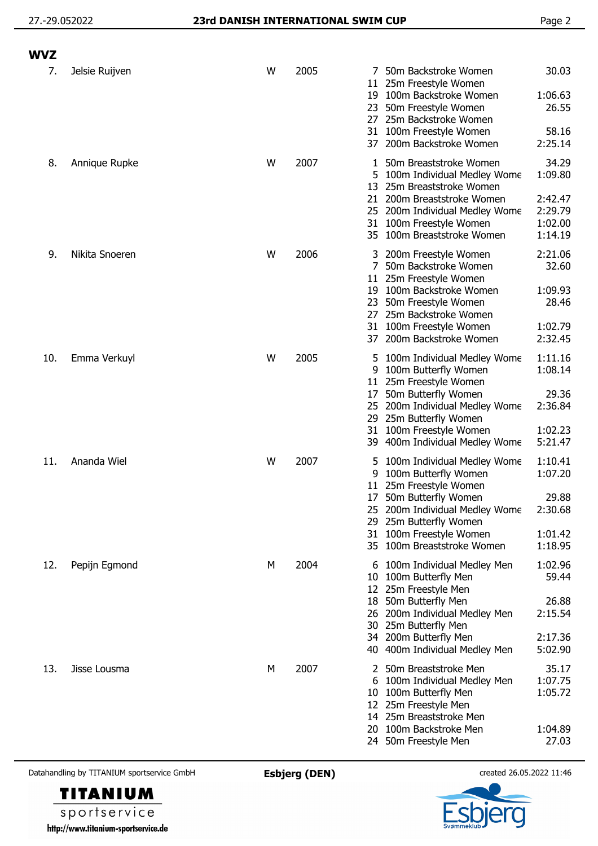## 27.-29.052022 **23rd DANISH INTERNATIONAL SWIM CUP** Page 2

| <b>WVZ</b> |                |   |      |                                        |                                                                                                                                                                                                                     |                                                              |
|------------|----------------|---|------|----------------------------------------|---------------------------------------------------------------------------------------------------------------------------------------------------------------------------------------------------------------------|--------------------------------------------------------------|
| 7.         | Jelsie Ruijven | W | 2005 | 7<br>11<br>19<br>23<br>27<br>31<br>37  | 50m Backstroke Women<br>25m Freestyle Women<br>100m Backstroke Women<br>50m Freestyle Women<br>25m Backstroke Women<br>100m Freestyle Women<br>200m Backstroke Women                                                | 30.03<br>1:06.63<br>26.55<br>58.16<br>2:25.14                |
| 8.         | Annique Rupke  | W | 2007 | 1<br>5.<br>13<br>21                    | 50m Breaststroke Women<br>100m Individual Medley Wome<br>25m Breaststroke Women<br>200m Breaststroke Women<br>25 200m Individual Medley Wome<br>31 100m Freestyle Women<br>35 100m Breaststroke Women               | 34.29<br>1:09.80<br>2:42.47<br>2:29.79<br>1:02.00<br>1:14.19 |
| 9.         | Nikita Snoeren | W | 2006 | 3<br>11<br>19<br>23<br>27<br>31<br>37  | 200m Freestyle Women<br>50m Backstroke Women<br>25m Freestyle Women<br>100m Backstroke Women<br>50m Freestyle Women<br>25m Backstroke Women<br>100m Freestyle Women<br>200m Backstroke Women                        | 2:21.06<br>32.60<br>1:09.93<br>28.46<br>1:02.79<br>2:32.45   |
| 10.        | Emma Verkuyl   | W | 2005 | 5<br>9<br>11.<br>17<br>29.<br>31<br>39 | 100m Individual Medley Wome<br>100m Butterfly Women<br>25m Freestyle Women<br>50m Butterfly Women<br>25 200m Individual Medley Wome<br>25m Butterfly Women<br>100m Freestyle Women<br>400m Individual Medley Wome   | 1:11.16<br>1:08.14<br>29.36<br>2:36.84<br>1:02.23<br>5:21.47 |
| 11.        | Ananda Wiel    | W | 2007 | 5<br>9<br>11<br>17<br>31               | 100m Individual Medley Wome<br>100m Butterfly Women<br>25m Freestyle Women<br>50m Butterfly Women<br>25 200m Individual Medley Wome<br>29 25m Butterfly Women<br>100m Freestyle Women<br>35 100m Breaststroke Women | 1:10.41<br>1:07.20<br>29.88<br>2:30.68<br>1:01.42<br>1:18.95 |
| 12.        | Pepijn Egmond  | М | 2004 | 6<br>10                                | 100m Individual Medley Men<br>100m Butterfly Men<br>12 25m Freestyle Men<br>18 50m Butterfly Men<br>26 200m Individual Medley Men<br>30 25m Butterfly Men<br>34 200m Butterfly Men<br>40 400m Individual Medley Men | 1:02.96<br>59.44<br>26.88<br>2:15.54<br>2:17.36<br>5:02.90   |
| 13.        | Jisse Lousma   | М | 2007 |                                        | 50m Breaststroke Men<br>6 100m Individual Medley Men<br>10 100m Butterfly Men<br>12 25m Freestyle Men<br>14 25m Breaststroke Men<br>20 100m Backstroke Men<br>24 50m Freestyle Men                                  | 35.17<br>1:07.75<br>1:05.72<br>1:04.89<br>27.03              |

Datahandling by TITANIUM sportservice GmbH **Esbjerg (DEN)** created 26.05.2022 11:46



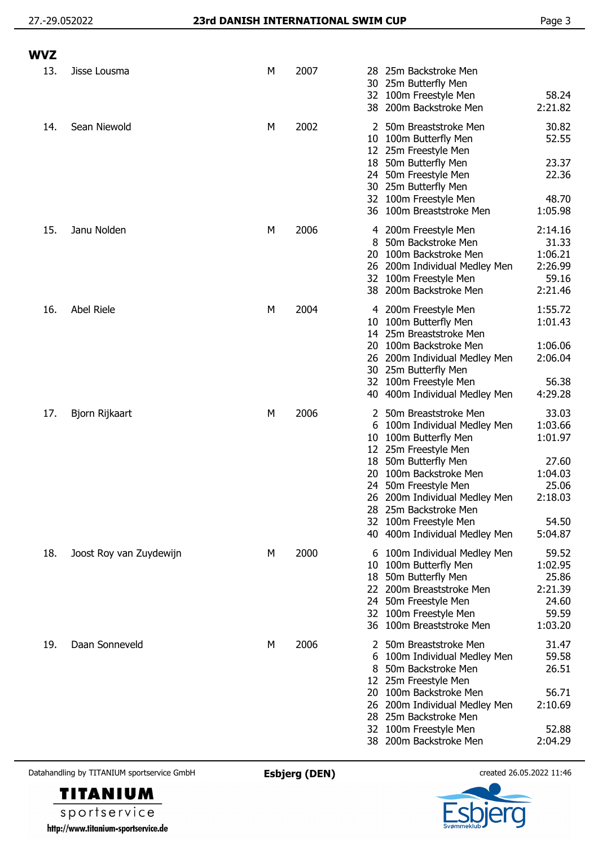| <b>WVZ</b> |                         |   |      |                                                                                                                                                                                                                                                                                                             |                                                                                         |
|------------|-------------------------|---|------|-------------------------------------------------------------------------------------------------------------------------------------------------------------------------------------------------------------------------------------------------------------------------------------------------------------|-----------------------------------------------------------------------------------------|
| 13.        | Jisse Lousma            | М | 2007 | 25m Backstroke Men<br>28<br>25m Butterfly Men<br>30<br>32 100m Freestyle Men<br>38 200m Backstroke Men                                                                                                                                                                                                      | 58.24<br>2:21.82                                                                        |
| 14.        | Sean Niewold            | M | 2002 | 2 50m Breaststroke Men<br>100m Butterfly Men<br>10 <sup>°</sup><br>12 25m Freestyle Men<br>18 50m Butterfly Men<br>24 50m Freestyle Men<br>30 25m Butterfly Men<br>32 100m Freestyle Men<br>36 100m Breaststroke Men                                                                                        | 30.82<br>52.55<br>23.37<br>22.36<br>48.70<br>1:05.98                                    |
| 15.        | Janu Nolden             | M | 2006 | 4 200m Freestyle Men<br>50m Backstroke Men<br>8<br>100m Backstroke Men<br>20<br>26 200m Individual Medley Men<br>32 100m Freestyle Men<br>38 200m Backstroke Men                                                                                                                                            | 2:14.16<br>31.33<br>1:06.21<br>2:26.99<br>59.16<br>2:21.46                              |
| 16.        | Abel Riele              | M | 2004 | 4 200m Freestyle Men<br>100m Butterfly Men<br>10.<br>14 25m Breaststroke Men<br>100m Backstroke Men<br>20<br>26 200m Individual Medley Men<br>30 25m Butterfly Men<br>32 100m Freestyle Men<br>40 400m Individual Medley Men                                                                                | 1:55.72<br>1:01.43<br>1:06.06<br>2:06.04<br>56.38<br>4:29.28                            |
| 17.        | Bjorn Rijkaart          | M | 2006 | 2 50m Breaststroke Men<br>100m Individual Medley Men<br>b<br>100m Butterfly Men<br>10<br>12 25m Freestyle Men<br>18 50m Butterfly Men<br>20 100m Backstroke Men<br>24 50m Freestyle Men<br>26 200m Individual Medley Men<br>28 25m Backstroke Men<br>32 100m Freestyle Men<br>40 400m Individual Medley Men | 33.03<br>1:03.66<br>1:01.97<br>27.60<br>1:04.03<br>25.06<br>2:18.03<br>54.50<br>5:04.87 |
| 18.        | Joost Roy van Zuydewijn | М | 2000 | 100m Individual Medley Men<br>6<br>100m Butterfly Men<br>10<br>18 50m Butterfly Men<br>22 200m Breaststroke Men<br>24 50m Freestyle Men<br>32 100m Freestyle Men<br>36 100m Breaststroke Men                                                                                                                | 59.52<br>1:02.95<br>25.86<br>2:21.39<br>24.60<br>59.59<br>1:03.20                       |
| 19.        | Daan Sonneveld          | М | 2006 | 50m Breaststroke Men<br>100m Individual Medley Men<br>6<br>50m Backstroke Men<br>12 25m Freestyle Men<br>100m Backstroke Men<br>20<br>26 200m Individual Medley Men<br>28 25m Backstroke Men<br>32 100m Freestyle Men<br>38 200m Backstroke Men                                                             | 31.47<br>59.58<br>26.51<br>56.71<br>2:10.69<br>52.88<br>2:04.29                         |

Datahandling by TITANIUM sportservice GmbH **Esbjerg (DEN)** created 26.05.2022 11:46

**TITANIUM** sportservice http://www.titanium-sportservice.de